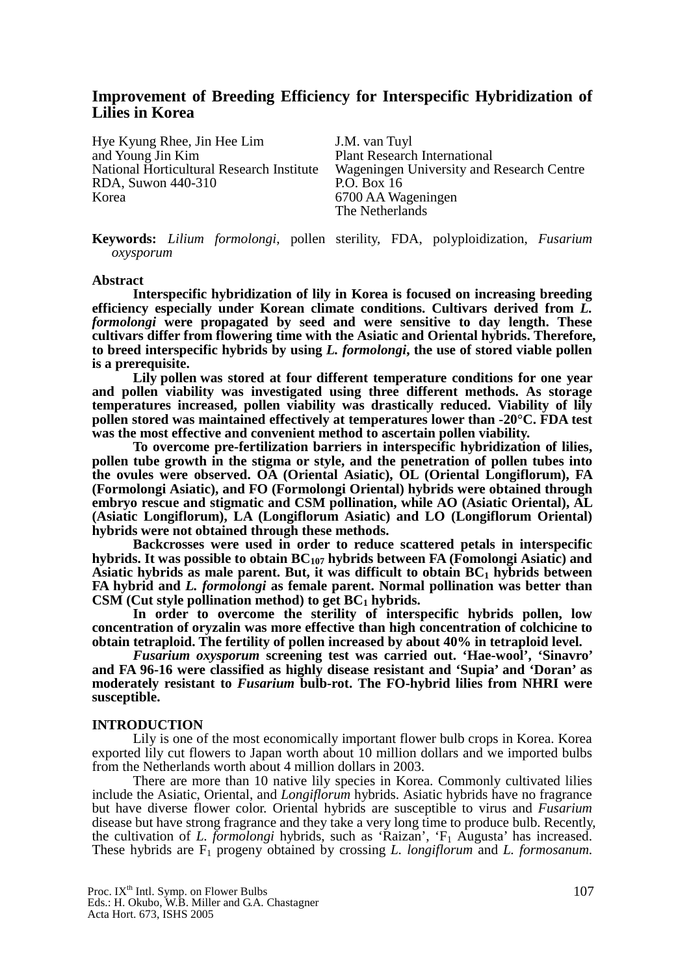# **Improvement of Breeding Efficiency for Interspecific Hybridization of Lilies in Korea**

Hye Kyung Rhee, Jin Hee Lim J.M. van Tuyl and Young Jin Kim Plant Research International RDA, Suwon 440-310 Korea 6700 AA Wageningen

National Horticultural Research Institute Wageningen University and Research Centre The Netherlands

**Keywords:** *Lilium formolongi*, pollen sterility, FDA, polyploidization, *Fusarium oxysporum*

#### **Abstract**

**Interspecific hybridization of lily in Korea is focused on increasing breeding efficiency especially under Korean climate conditions. Cultivars derived from** *L. formolongi* **were propagated by seed and were sensitive to day length. These cultivars differ from flowering time with the Asiatic and Oriental hybrids. Therefore, to breed interspecific hybrids by using** *L. formolongi***, the use of stored viable pollen is a prerequisite.** 

**Lily pollen was stored at four different temperature conditions for one year and pollen viability was investigated using three different methods. As storage temperatures increased, pollen viability was drastically reduced. Viability of lily pollen stored was maintained effectively at temperatures lower than -20°C. FDA test was the most effective and convenient method to ascertain pollen viability.** 

**To overcome pre-fertilization barriers in interspecific hybridization of lilies, pollen tube growth in the stigma or style, and the penetration of pollen tubes into the ovules were observed. OA (Oriental Asiatic), OL (Oriental Longiflorum), FA (Formolongi Asiatic), and FO (Formolongi Oriental) hybrids were obtained through embryo rescue and stigmatic and CSM pollination, while AO (Asiatic Oriental), AL (Asiatic Longiflorum), LA (Longiflorum Asiatic) and LO (Longiflorum Oriental) hybrids were not obtained through these methods.** 

**Backcrosses were used in order to reduce scattered petals in interspecific**  hybrids. It was possible to obtain BC<sub>107</sub> hybrids between FA (Fomolongi Asiatic) and Asiatic hybrids as male parent. But, it was difficult to obtain  $BC<sub>1</sub>$  hybrids between **FA hybrid and** *L. formolongi* **as female parent. Normal pollination was better than**  CSM (Cut style pollination method) to get BC<sub>1</sub> hybrids.

**In order to overcome the sterility of interspecific hybrids pollen, low concentration of oryzalin was more effective than high concentration of colchicine to obtain tetraploid. The fertility of pollen increased by about 40% in tetraploid level.** 

*Fusarium oxysporum* **screening test was carried out. 'Hae-wool', 'Sinavro' and FA 96-16 were classified as highly disease resistant and 'Supia' and 'Doran' as moderately resistant to** *Fusarium* **bulb-rot. The FO-hybrid lilies from NHRI were susceptible.** 

#### **INTRODUCTION**

Lily is one of the most economically important flower bulb crops in Korea. Korea exported lily cut flowers to Japan worth about 10 million dollars and we imported bulbs from the Netherlands worth about 4 million dollars in 2003.

There are more than 10 native lily species in Korea. Commonly cultivated lilies include the Asiatic, Oriental, and *Longiflorum* hybrids. Asiatic hybrids have no fragrance but have diverse flower color. Oriental hybrids are susceptible to virus and *Fusarium* disease but have strong fragrance and they take a very long time to produce bulb. Recently, the cultivation of *L. formolongi* hybrids, such as 'Raizan', 'F<sub>1</sub> Augusta' has increased. These hybrids are F<sub>1</sub> progeny obtained by crossing *L. longiflorum* and *L. formosanum*.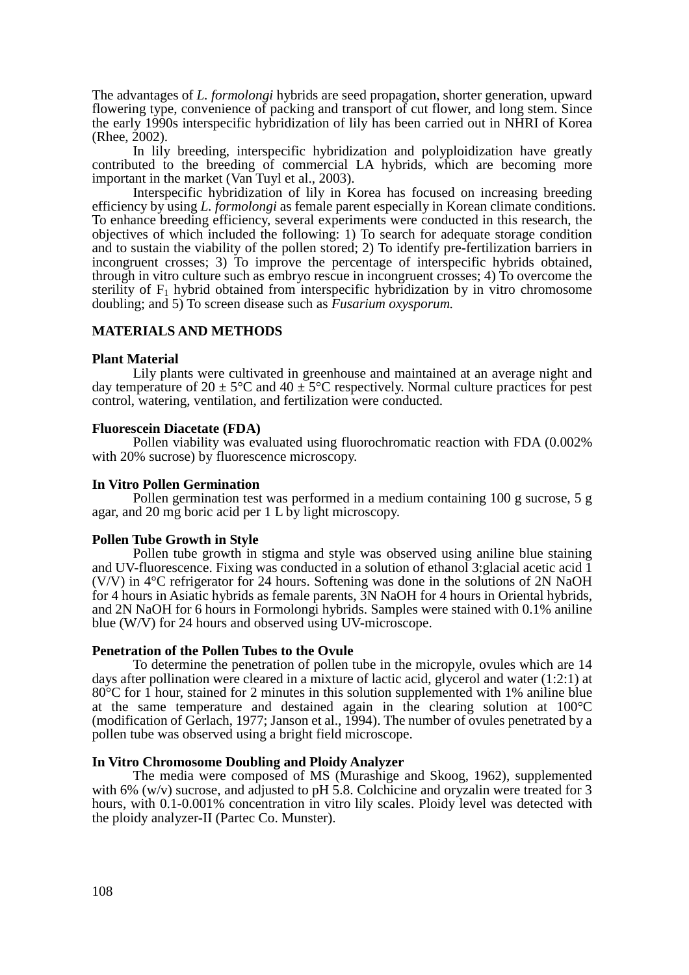The advantages of *L. formolongi* hybrids are seed propagation, shorter generation, upward flowering type, convenience of packing and transport of cut flower, and long stem. Since the early 1990s interspecific hybridization of lily has been carried out in NHRI of Korea (Rhee, 2002).

In lily breeding, interspecific hybridization and polyploidization have greatly contributed to the breeding of commercial LA hybrids, which are becoming more important in the market (Van Tuyl et al., 2003).

Interspecific hybridization of lily in Korea has focused on increasing breeding efficiency by using *L. formolongi* as female parent especially in Korean climate conditions. To enhance breeding efficiency, several experiments were conducted in this research, the objectives of which included the following: 1) To search for adequate storage condition and to sustain the viability of the pollen stored; 2) To identify pre-fertilization barriers in incongruent crosses; 3) To improve the percentage of interspecific hybrids obtained, through in vitro culture such as embryo rescue in incongruent crosses; 4) To overcome the sterility of  $F_1$  hybrid obtained from interspecific hybridization by in vitro chromosome doubling; and 5) To screen disease such as *Fusarium oxysporum.*

# **MATERIALS AND METHODS**

## **Plant Material**

Lily plants were cultivated in greenhouse and maintained at an average night and day temperature of  $20 \pm 5^{\circ}$ C and  $40 \pm 5^{\circ}$ C respectively. Normal culture practices for pest control, watering, ventilation, and fertilization were conducted.

## **Fluorescein Diacetate (FDA)**

Pollen viability was evaluated using fluorochromatic reaction with FDA (0.002% with 20% sucrose) by fluorescence microscopy.

## **In Vitro Pollen Germination**

Pollen germination test was performed in a medium containing 100 g sucrose, 5 g agar, and 20 mg boric acid per 1 L by light microscopy.

# **Pollen Tube Growth in Style**

Pollen tube growth in stigma and style was observed using aniline blue staining and UV-fluorescence. Fixing was conducted in a solution of ethanol 3:glacial acetic acid 1 (V/V) in 4°C refrigerator for 24 hours. Softening was done in the solutions of 2N NaOH for 4 hours in Asiatic hybrids as female parents, 3N NaOH for 4 hours in Oriental hybrids, and 2N NaOH for 6 hours in Formolongi hybrids. Samples were stained with 0.1% aniline blue (W/V) for 24 hours and observed using UV-microscope.

## **Penetration of the Pollen Tubes to the Ovule**

To determine the penetration of pollen tube in the micropyle, ovules which are 14 days after pollination were cleared in a mixture of lactic acid, glycerol and water (1:2:1) at 80°C for 1 hour, stained for 2 minutes in this solution supplemented with 1% aniline blue at the same temperature and destained again in the clearing solution at 100°C (modification of Gerlach, 1977; Janson et al., 1994). The number of ovules penetrated by a pollen tube was observed using a bright field microscope.

# **In Vitro Chromosome Doubling and Ploidy Analyzer**

The media were composed of MS (Murashige and Skoog, 1962), supplemented with 6% (w/v) sucrose, and adjusted to pH 5.8. Colchicine and oryzalin were treated for 3 hours, with 0.1-0.001% concentration in vitro lily scales. Ploidy level was detected with the ploidy analyzer-II (Partec Co. Munster).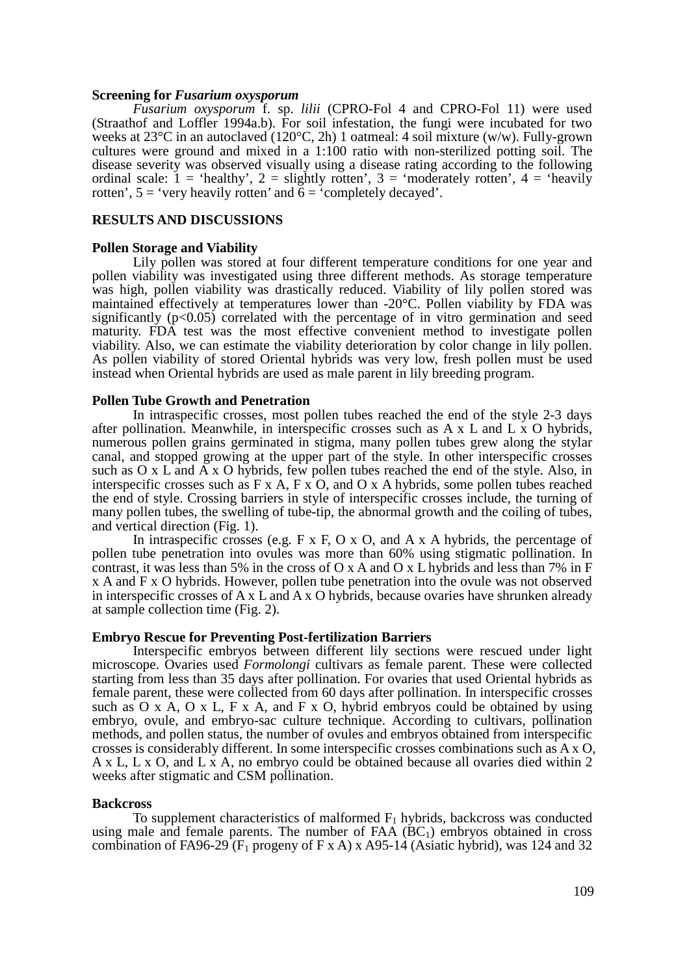### **Screening for** *Fusarium oxysporum*

*Fusarium oxysporum* f. sp. *lilii* (CPRO-Fol 4 and CPRO-Fol 11) were used (Straathof and Loffler 1994a.b). For soil infestation, the fungi were incubated for two weeks at 23°C in an autoclaved (120°C, 2h) 1 oatmeal: 4 soil mixture (w/w). Fully-grown cultures were ground and mixed in a 1:100 ratio with non-sterilized potting soil. The disease severity was observed visually using a disease rating according to the following ordinal scale:  $1 =$  'healthy',  $2 =$  slightly rotten',  $3 =$  'moderately rotten',  $4 =$  'heavily rotten',  $5 =$  'very heavily rotten' and  $\overline{6} =$  'completely decayed'.

#### **RESULTS AND DISCUSSIONS**

#### **Pollen Storage and Viability**

Lily pollen was stored at four different temperature conditions for one year and pollen viability was investigated using three different methods. As storage temperature was high, pollen viability was drastically reduced. Viability of lily pollen stored was maintained effectively at temperatures lower than -20°C. Pollen viability by FDA was significantly  $(p<0.05)$  correlated with the percentage of in vitro germination and seed maturity. FDA test was the most effective convenient method to investigate pollen viability. Also, we can estimate the viability deterioration by color change in lily pollen. As pollen viability of stored Oriental hybrids was very low, fresh pollen must be used instead when Oriental hybrids are used as male parent in lily breeding program.

### **Pollen Tube Growth and Penetration**

In intraspecific crosses, most pollen tubes reached the end of the style 2-3 days after pollination. Meanwhile, in interspecific crosses such as  $A \times I$  and  $L \times O$  hybrids, numerous pollen grains germinated in stigma, many pollen tubes grew along the stylar canal, and stopped growing at the upper part of the style. In other interspecific crosses such as O x L and A x O hybrids, few pollen tubes reached the end of the style. Also, in interspecific crosses such as  $F \times A$ ,  $F \times O$ , and  $O \times A$  hybrids, some pollen tubes reached the end of style. Crossing barriers in style of interspecific crosses include, the turning of many pollen tubes, the swelling of tube-tip, the abnormal growth and the coiling of tubes, and vertical direction (Fig. 1).

In intraspecific crosses (e.g.  $F \times F$ , O  $\times$  O, and A  $\times$  A hybrids, the percentage of pollen tube penetration into ovules was more than 60% using stigmatic pollination. In contrast, it was less than 5% in the cross of O x A and O x L hybrids and less than 7% in F x A and F x O hybrids. However, pollen tube penetration into the ovule was not observed in interspecific crosses of A x L and A x O hybrids, because ovaries have shrunken already at sample collection time (Fig. 2).

#### **Embryo Rescue for Preventing Post-fertilization Barriers**

Interspecific embryos between different lily sections were rescued under light microscope. Ovaries used *Formolongi* cultivars as female parent. These were collected starting from less than 35 days after pollination. For ovaries that used Oriental hybrids as female parent, these were collected from 60 days after pollination. In interspecific crosses such as  $O \times A$ ,  $O \times L$ ,  $F \times A$ , and  $F \times O$ , hybrid embryos could be obtained by using embryo, ovule, and embryo-sac culture technique. According to cultivars, pollination methods, and pollen status, the number of ovules and embryos obtained from interspecific crosses is considerably different. In some interspecific crosses combinations such as A x O, A x L, L x O, and L x A, no embryo could be obtained because all ovaries died within 2 weeks after stigmatic and CSM pollination.

#### **Backcross**

To supplement characteristics of malformed  $F_1$  hybrids, backcross was conducted using male and female parents. The number of  $FAA (BC<sub>1</sub>)$  embryos obtained in cross combination of FA96-29 ( $F_1$  progeny of F x A) x A95-14 (Asiatic hybrid), was 124 and 32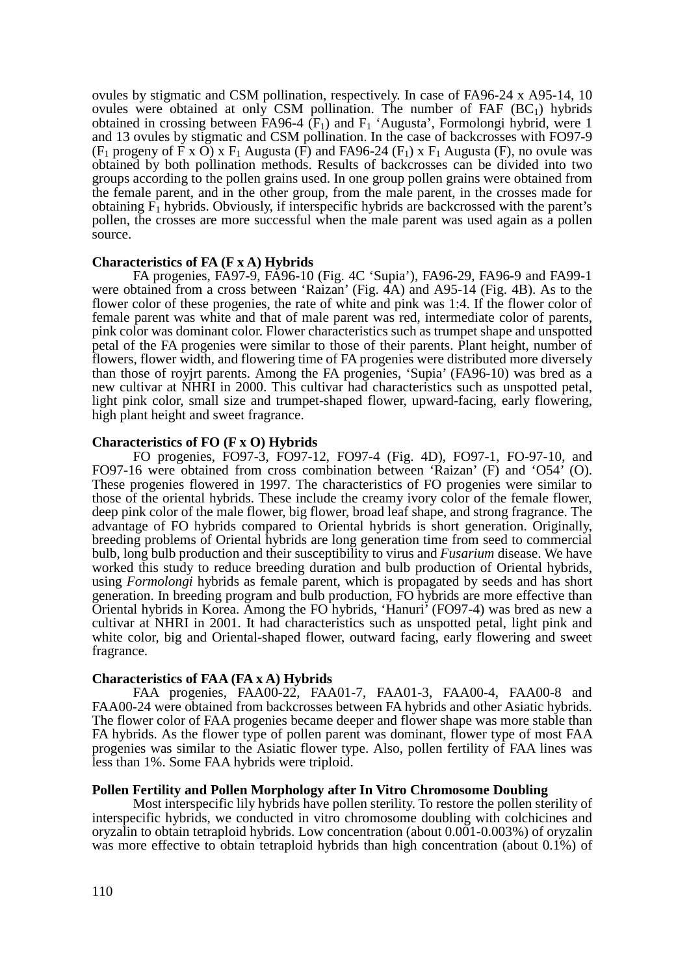ovules by stigmatic and CSM pollination, respectively. In case of FA96-24 x A95-14, 10 ovules were obtained at only CSM pollination. The number of FAF  $(BC_1)$  hybrids obtained in crossing between FA96-4  $(F_1)$  and  $F_1$  'Augusta', Formolongi hybrid, were 1 and 13 ovules by stigmatic and CSM pollination. In the case of backcrosses with FO97-9 (F<sub>1</sub> progeny of F x O) x F<sub>1</sub> Augusta (F) and FA96-24 (F<sub>1</sub>) x F<sub>1</sub> Augusta (F), no ovule was obtained by both pollination methods. Results of backcrosses can be divided into two groups according to the pollen grains used. In one group pollen grains were obtained from the female parent, and in the other group, from the male parent, in the crosses made for obtaining  $F_1$  hybrids. Obviously, if interspecific hybrids are backcrossed with the parent's pollen, the crosses are more successful when the male parent was used again as a pollen source.

# **Characteristics of FA (F x A) Hybrids**

FA progenies, FA97-9, FA96-10 (Fig. 4C 'Supia'), FA96-29, FA96-9 and FA99-1 were obtained from a cross between 'Raizan' (Fig. 4A) and A95-14 (Fig. 4B). As to the flower color of these progenies, the rate of white and pink was 1:4. If the flower color of female parent was white and that of male parent was red, intermediate color of parents, pink color was dominant color. Flower characteristics such as trumpet shape and unspotted petal of the FA progenies were similar to those of their parents. Plant height, number of flowers, flower width, and flowering time of FA progenies were distributed more diversely than those of royjrt parents. Among the FA progenies, 'Supia' (FA96-10) was bred as a new cultivar at NHRI in 2000. This cultivar had characteristics such as unspotted petal, light pink color, small size and trumpet-shaped flower, upward-facing, early flowering, high plant height and sweet fragrance.

### **Characteristics of FO (F x O) Hybrids**

FO progenies, FO97-3, FO97-12, FO97-4 (Fig. 4D), FO97-1, FO-97-10, and FO97-16 were obtained from cross combination between 'Raizan' (F) and 'O54' (O). These progenies flowered in 1997. The characteristics of FO progenies were similar to those of the oriental hybrids. These include the creamy ivory color of the female flower, deep pink color of the male flower, big flower, broad leaf shape, and strong fragrance. The advantage of FO hybrids compared to Oriental hybrids is short generation. Originally, breeding problems of Oriental hybrids are long generation time from seed to commercial bulb, long bulb production and their susceptibility to virus and *Fusarium* disease. We have worked this study to reduce breeding duration and bulb production of Oriental hybrids, using *Formolongi* hybrids as female parent, which is propagated by seeds and has short generation. In breeding program and bulb production, FO hybrids are more effective than Oriental hybrids in Korea. Among the FO hybrids, 'Hanuri' (FO97-4) was bred as new a cultivar at NHRI in 2001. It had characteristics such as unspotted petal, light pink and white color, big and Oriental-shaped flower, outward facing, early flowering and sweet fragrance.

#### **Characteristics of FAA (FA x A) Hybrids**

FAA progenies, FAA00-22, FAA01-7, FAA01-3, FAA00-4, FAA00-8 and FAA00-24 were obtained from backcrosses between FA hybrids and other Asiatic hybrids. The flower color of FAA progenies became deeper and flower shape was more stable than FA hybrids. As the flower type of pollen parent was dominant, flower type of most FAA progenies was similar to the Asiatic flower type. Also, pollen fertility of FAA lines was less than 1%. Some FAA hybrids were triploid.

#### **Pollen Fertility and Pollen Morphology after In Vitro Chromosome Doubling**

Most interspecific lily hybrids have pollen sterility. To restore the pollen sterility of interspecific hybrids, we conducted in vitro chromosome doubling with colchicines and oryzalin to obtain tetraploid hybrids. Low concentration (about 0.001-0.003%) of oryzalin was more effective to obtain tetraploid hybrids than high concentration (about 0.1%) of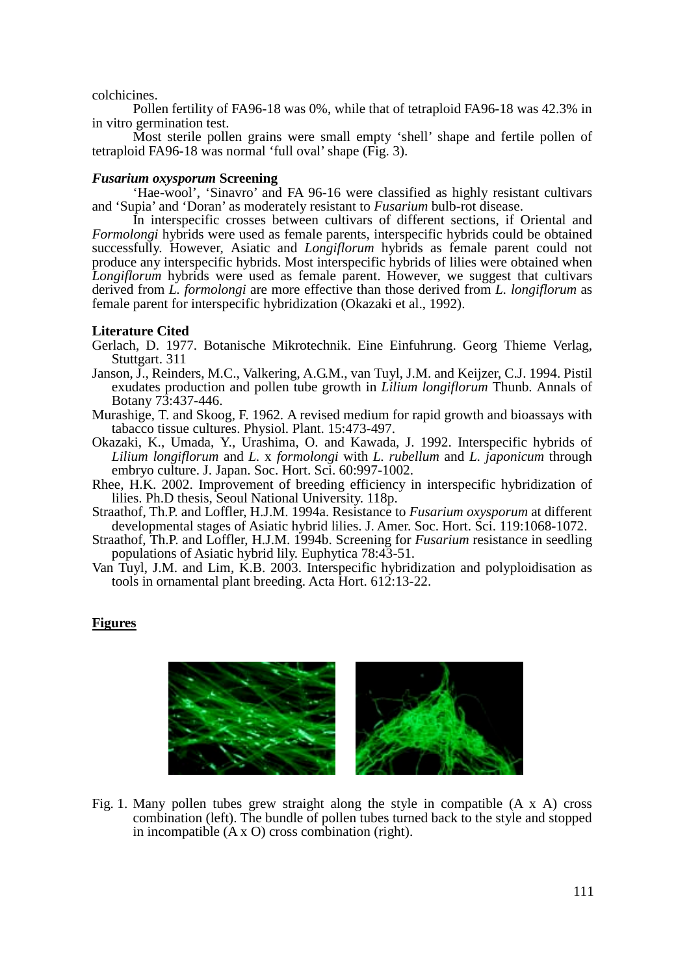## colchicines.

Pollen fertility of FA96-18 was 0%, while that of tetraploid FA96-18 was 42.3% in in vitro germination test.

Most sterile pollen grains were small empty 'shell' shape and fertile pollen of tetraploid FA96-18 was normal 'full oval' shape (Fig. 3).

## *Fusarium oxysporum* **Screening**

'Hae-wool', 'Sinavro' and FA 96-16 were classified as highly resistant cultivars and 'Supia' and 'Doran' as moderately resistant to *Fusarium* bulb-rot disease.

In interspecific crosses between cultivars of different sections, if Oriental and *Formolongi* hybrids were used as female parents, interspecific hybrids could be obtained successfully. However, Asiatic and *Longiflorum* hybrids as female parent could not produce any interspecific hybrids. Most interspecific hybrids of lilies were obtained when *Longiflorum* hybrids were used as female parent. However, we suggest that cultivars derived from *L. formolongi* are more effective than those derived from *L. longiflorum* as female parent for interspecific hybridization (Okazaki et al., 1992).

# **Literature Cited**

- Gerlach, D. 1977. Botanische Mikrotechnik. Eine Einfuhrung. Georg Thieme Verlag, Stuttgart. 311
- Janson, J., Reinders, M.C., Valkering, A.G.M., van Tuyl, J.M. and Keijzer, C.J. 1994. Pistil exudates production and pollen tube growth in *Lilium longiflorum* Thunb. Annals of Botany 73:437-446.
- Murashige, T. and Skoog, F. 1962. A revised medium for rapid growth and bioassays with tabacco tissue cultures. Physiol. Plant. 15:473-497.
- Okazaki, K., Umada, Y., Urashima, O. and Kawada, J. 1992. Interspecific hybrids of *Lilium longiflorum* and *L.* x *formolongi* with *L. rubellum* and *L. japonicum* through embryo culture. J. Japan. Soc. Hort. Sci. 60:997-1002.
- Rhee, H.K. 2002. Improvement of breeding efficiency in interspecific hybridization of lilies. Ph.D thesis, Seoul National University. 118p.
- Straathof, Th.P. and Loffler, H.J.M. 1994a. Resistance to *Fusarium oxysporum* at different developmental stages of Asiatic hybrid lilies. J. Amer. Soc. Hort. Sci. 119:1068-1072.
- Straathof, Th.P. and Loffler, H.J.M. 1994b. Screening for *Fusarium* resistance in seedling populations of Asiatic hybrid lily. Euphytica 78:43-51.
- Van Tuyl, J.M. and Lim, K.B. 2003. Interspecific hybridization and polyploidisation as tools in ornamental plant breeding. Acta Hort. 612:13-22.

# **Figures**



Fig. 1. Many pollen tubes grew straight along the style in compatible (A x A) cross combination (left). The bundle of pollen tubes turned back to the style and stopped in incompatible (A x O) cross combination (right).